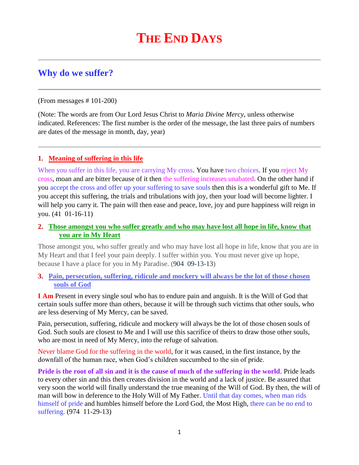# **Why do we suffer?**

(From messages # 101-200)

(Note: The words are from Our Lord Jesus Christ to *Maria Divine Mercy*, unless otherwise indicated. References: The first number is the order of the message, the last three pairs of numbers are dates of the message in month, day, year)

## **1. Meaning of suffering in this life**

When you suffer in this life, you are carrying My cross. You have two choices. If you reject My cross, moan and are bitter because of it then the suffering increases unabated. On the other hand if you accept the cross and offer up your suffering to save souls then this is a wonderful gift to Me. If you accept this suffering, the trials and tribulations with joy, then your load will become lighter. I will help you carry it. The pain will then ease and peace, love, joy and pure happiness will reign in you. (41 01-16-11)

## **2. [Those amongst you who suffer greatly and who may have lost all hope in life, know that](http://www.thewarningsecondcoming.com/those-amongst-you-who-suffer-greatly-and-who-may-have-lost-all-hope-in-life-know-that-you-are-in-my-heart/)  [you are in My Heart](http://www.thewarningsecondcoming.com/those-amongst-you-who-suffer-greatly-and-who-may-have-lost-all-hope-in-life-know-that-you-are-in-my-heart/)**

Those amongst you, who suffer greatly and who may have lost all hope in life, know that you are in My Heart and that I feel your pain deeply. I suffer within you. You must never give up hope, because I have a place for you in My Paradise. (904 09-13-13)

### **3. [Pain, persecution, suffering, ridicule and mockery will always be the lot of those chosen](http://www.thewarningsecondcoming.com/pain-persecution-suffering-ridicule-and-mockery-will-always-be-the-lot-of-those-chosen-souls-of-god/)  [souls of God](http://www.thewarningsecondcoming.com/pain-persecution-suffering-ridicule-and-mockery-will-always-be-the-lot-of-those-chosen-souls-of-god/)**

**I Am** Present in every single soul who has to endure pain and anguish. It is the Will of God that certain souls suffer more than others, because it will be through such victims that other souls, who are less deserving of My Mercy, can be saved.

Pain, persecution, suffering, ridicule and mockery will always be the lot of those chosen souls of God. Such souls are closest to Me and I will use this sacrifice of theirs to draw those other souls, who are most in need of My Mercy, into the refuge of salvation.

Never blame God for the suffering in the world, for it was caused, in the first instance, by the downfall of the human race, when God's children succumbed to the sin of pride.

**Pride is the root of all sin and it is the cause of much of the suffering in the world**. Pride leads to every other sin and this then creates division in the world and a lack of justice. Be assured that very soon the world will finally understand the true meaning of the Will of God. By then, the will of man will bow in deference to the Holy Will of My Father. Until that day comes, when man rids himself of pride and humbles himself before the Lord God, the Most High, there can be no end to suffering. (974 11-29-13)